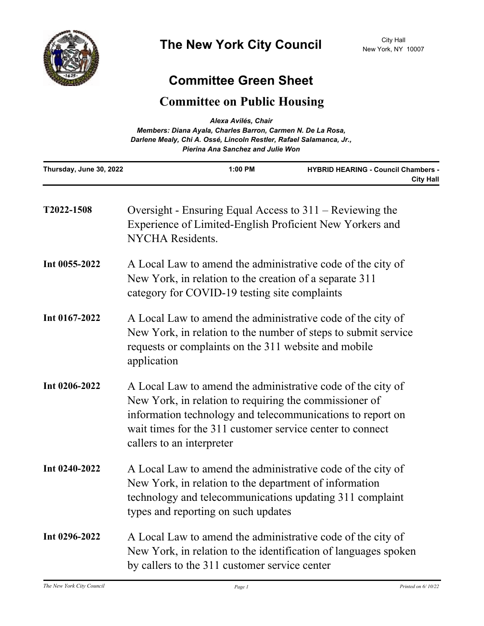

## **Committee Green Sheet**

## **Committee on Public Housing**

| Alexa Avilés, Chair<br>Members: Diana Ayala, Charles Barron, Carmen N. De La Rosa,<br>Darlene Mealy, Chi A. Ossé, Lincoln Restler, Rafael Salamanca, Jr.,<br><b>Pierina Ana Sanchez and Julie Won</b> |                                                                                                                                                                                                                                                                               |         |                                                                |
|-------------------------------------------------------------------------------------------------------------------------------------------------------------------------------------------------------|-------------------------------------------------------------------------------------------------------------------------------------------------------------------------------------------------------------------------------------------------------------------------------|---------|----------------------------------------------------------------|
| Thursday, June 30, 2022                                                                                                                                                                               |                                                                                                                                                                                                                                                                               | 1:00 PM | <b>HYBRID HEARING - Council Chambers -</b><br><b>City Hall</b> |
| T2022-1508                                                                                                                                                                                            | Oversight - Ensuring Equal Access to $311 -$ Reviewing the<br>Experience of Limited-English Proficient New Yorkers and<br><b>NYCHA</b> Residents.                                                                                                                             |         |                                                                |
| Int 0055-2022                                                                                                                                                                                         | A Local Law to amend the administrative code of the city of<br>New York, in relation to the creation of a separate 311<br>category for COVID-19 testing site complaints                                                                                                       |         |                                                                |
| Int 0167-2022                                                                                                                                                                                         | A Local Law to amend the administrative code of the city of<br>New York, in relation to the number of steps to submit service<br>requests or complaints on the 311 website and mobile<br>application                                                                          |         |                                                                |
| Int 0206-2022                                                                                                                                                                                         | A Local Law to amend the administrative code of the city of<br>New York, in relation to requiring the commissioner of<br>information technology and telecommunications to report on<br>wait times for the 311 customer service center to connect<br>callers to an interpreter |         |                                                                |
| Int $0240 - 2022$                                                                                                                                                                                     | A Local Law to amend the administrative code of the city of<br>New York, in relation to the department of information<br>technology and telecommunications updating 311 complaint<br>types and reporting on such updates                                                      |         |                                                                |
| Int 0296-2022                                                                                                                                                                                         | A Local Law to amend the administrative code of the city of<br>New York, in relation to the identification of languages spoken<br>by callers to the 311 customer service center                                                                                               |         |                                                                |